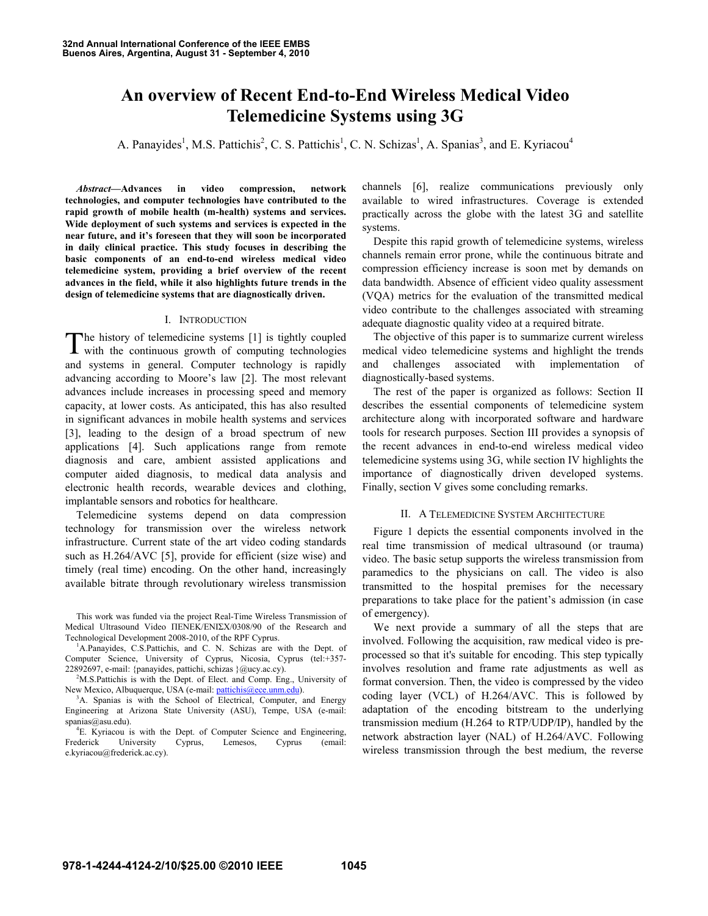# **An overview of Recent End-to-End Wireless Medical Video Telemedicine Systems using 3G**

A. Panayides<sup>1</sup>, M.S. Pattichis<sup>2</sup>, C. S. Pattichis<sup>1</sup>, C. N. Schizas<sup>1</sup>, A. Spanias<sup>3</sup>, and E. Kyriacou<sup>4</sup>

*Abstract***—Advances in video compression, network technologies, and computer technologies have contributed to the rapid growth of mobile health (m-health) systems and services. Wide deployment of such systems and services is expected in the near future, and it's foreseen that they will soon be incorporated in daily clinical practice. This study focuses in describing the basic components of an end-to-end wireless medical video telemedicine system, providing a brief overview of the recent advances in the field, while it also highlights future trends in the design of telemedicine systems that are diagnostically driven.** 

#### I. INTRODUCTION

The history of telemedicine systems [1] is tightly coupled with the continuous growth of computing technologies with the continuous growth of computing technologies and systems in general. Computer technology is rapidly advancing according to Moore's law [2]. The most relevant advances include increases in processing speed and memory capacity, at lower costs. As anticipated, this has also resulted in significant advances in mobile health systems and services [3], leading to the design of a broad spectrum of new applications [4]. Such applications range from remote diagnosis and care, ambient assisted applications and computer aided diagnosis, to medical data analysis and electronic health records, wearable devices and clothing, implantable sensors and robotics for healthcare.

Telemedicine systems depend on data compression technology for transmission over the wireless network infrastructure. Current state of the art video coding standards such as H.264/AVC [5], provide for efficient (size wise) and timely (real time) encoding. On the other hand, increasingly available bitrate through revolutionary wireless transmission

This work was funded via the project Real-Time Wireless Transmission of Medical Ultrasound Video ΠΕΝΕΚ/ΕΝΙΣΧ/0308/90 of the Research and Technological Development 2008-2010, of the RPF Cyprus. 1

<sup>1</sup>A.Panayides, C.S.Pattichis, and C. N. Schizas are with the Dept. of Computer Science, University of Cyprus, Nicosia, Cyprus (tel:+357- 22892697, e-mail: {panayides, pattichi, schizas }@ucy.ac.cy). 2

<sup>2</sup>M.S.Pattichis is with the Dept. of Elect. and Comp. Eng., University of New Mexico, Albuquerque, USA (e-mail: pattichis@ece.unm.edu).

<sup>3</sup>A. Spanias is with the School of Electrical, Computer, and Energy Engineering at Arizona State University (ASU), Tempe, USA (e-mail: spanias@asu.edu).

<sup>4</sup>E. Kyriacou is with the Dept. of Computer Science and Engineering,<br>Frederick University Cyprus, Lemesos, Cyprus (email: University Cyprus, Lemesos, Cyprus (email: e.kyriacou@frederick.ac.cy).

channels [6], realize communications previously only available to wired infrastructures. Coverage is extended practically across the globe with the latest 3G and satellite systems.

Despite this rapid growth of telemedicine systems, wireless channels remain error prone, while the continuous bitrate and compression efficiency increase is soon met by demands on data bandwidth. Absence of efficient video quality assessment (VQA) metrics for the evaluation of the transmitted medical video contribute to the challenges associated with streaming adequate diagnostic quality video at a required bitrate.

The objective of this paper is to summarize current wireless medical video telemedicine systems and highlight the trends and challenges associated with implementation of diagnostically-based systems.

The rest of the paper is organized as follows: Section II describes the essential components of telemedicine system architecture along with incorporated software and hardware tools for research purposes. Section III provides a synopsis of the recent advances in end-to-end wireless medical video telemedicine systems using 3G, while section IV highlights the importance of diagnostically driven developed systems. Finally, section V gives some concluding remarks.

#### II. A TELEMEDICINE SYSTEM ARCHITECTURE

Figure 1 depicts the essential components involved in the real time transmission of medical ultrasound (or trauma) video. The basic setup supports the wireless transmission from paramedics to the physicians on call. The video is also transmitted to the hospital premises for the necessary preparations to take place for the patient's admission (in case of emergency).

We next provide a summary of all the steps that are involved. Following the acquisition, raw medical video is preprocessed so that it's suitable for encoding. This step typically involves resolution and frame rate adjustments as well as format conversion. Then, the video is compressed by the video coding layer (VCL) of H.264/AVC. This is followed by adaptation of the encoding bitstream to the underlying transmission medium (H.264 to RTP/UDP/IP), handled by the network abstraction layer (NAL) of H.264/AVC. Following wireless transmission through the best medium, the reverse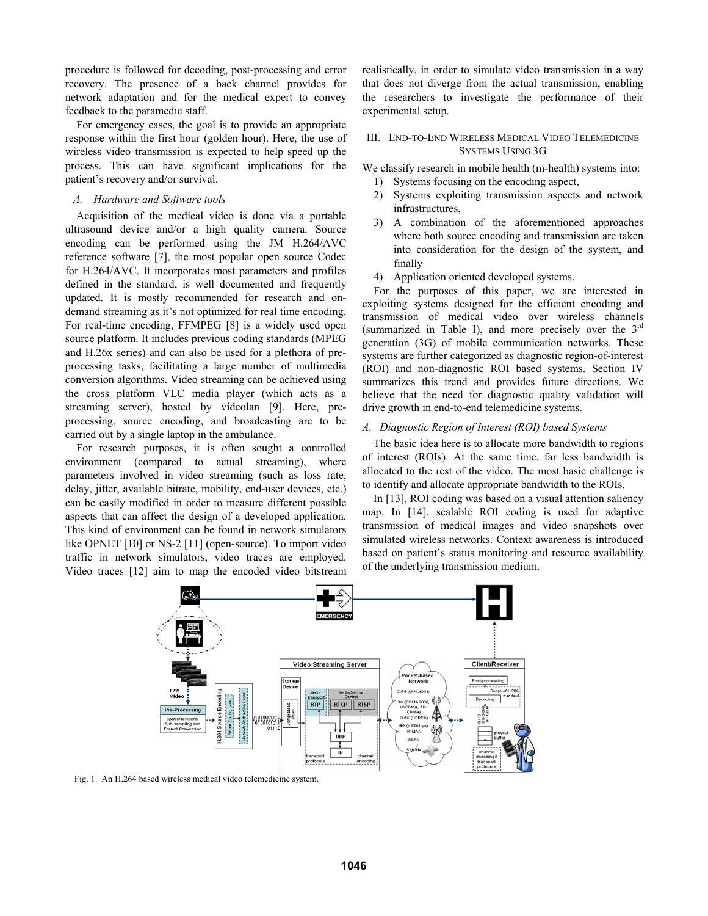procedure is followed for decoding, post-processing and error recovery. The presence of a back channel provides for network adaptation and for the medical expert to convey feedback to the paramedic staff.

For emergency cases, the goal is to provide an appropriate response within the first hour (golden hour). Here, the use of wireless video transmission is expected to help speed up the process. This can have significant implications for the patient's recovery and/or survival.

# *A. Hardware and Software tools*

Acquisition of the medical video is done via a portable ultrasound device and/or a high quality camera. Source encoding can be performed using the JM H.264/AVC reference software [7], the most popular open source Codec for H.264/AVC. It incorporates most parameters and profiles defined in the standard, is well documented and frequently updated. It is mostly recommended for research and ondemand streaming as it's not optimized for real time encoding. For real-time encoding, FFMPEG [8] is a widely used open source platform. It includes previous coding standards (MPEG and H.26x series) and can also be used for a plethora of preprocessing tasks, facilitating a large number of multimedia conversion algorithms. Video streaming can be achieved using the cross platform VLC media player (which acts as a streaming server), hosted by videolan [9]. Here, preprocessing, source encoding, and broadcasting are to be carried out by a single laptop in the ambulance.

For research purposes, it is often sought a controlled environment (compared to actual streaming), where parameters involved in video streaming (such as loss rate, delay, jitter, available bitrate, mobility, end-user devices, etc.) can be easily modified in order to measure different possible aspects that can affect the design of a developed application. This kind of environment can be found in network simulators like OPNET [10] or NS-2 [11] (open-source). To import video traffic in network simulators, video traces are employed. Video traces [12] aim to map the encoded video bitstream realistically, in order to simulate video transmission in a way that does not diverge from the actual transmission, enabling the researchers to investigate the performance of their experimental setup.

# III. END-TO-END WIRELESS MEDICAL VIDEO TELEMEDICINE SYSTEMS USING 3G

We classify research in mobile health (m-health) systems into:

- 1) Systems focusing on the encoding aspect,
- 2) Systems exploiting transmission aspects and network infrastructures,
- 3) A combination of the aforementioned approaches where both source encoding and transmission are taken into consideration for the design of the system, and finally
- 4) Application oriented developed systems.

 For the purposes of this paper, we are interested in exploiting systems designed for the efficient encoding and transmission of medical video over wireless channels (summarized in Table I), and more precisely over the  $3<sup>rd</sup>$ generation (3G) of mobile communication networks. These systems are further categorized as diagnostic region-of-interest (ROI) and non-diagnostic ROI based systems. Section IV summarizes this trend and provides future directions. We believe that the need for diagnostic quality validation will drive growth in end-to-end telemedicine systems.

### *A. Diagnostic Region of Interest (ROI) based Systems*

The basic idea here is to allocate more bandwidth to regions of interest (ROIs). At the same time, far less bandwidth is allocated to the rest of the video. The most basic challenge is to identify and allocate appropriate bandwidth to the ROIs.

In [13], ROI coding was based on a visual attention saliency map. In [14], scalable ROI coding is used for adaptive transmission of medical images and video snapshots over simulated wireless networks. Context awareness is introduced based on patient's status monitoring and resource availability of the underlying transmission medium.



Fig. 1. An H.264 based wireless medical video telemedicine system.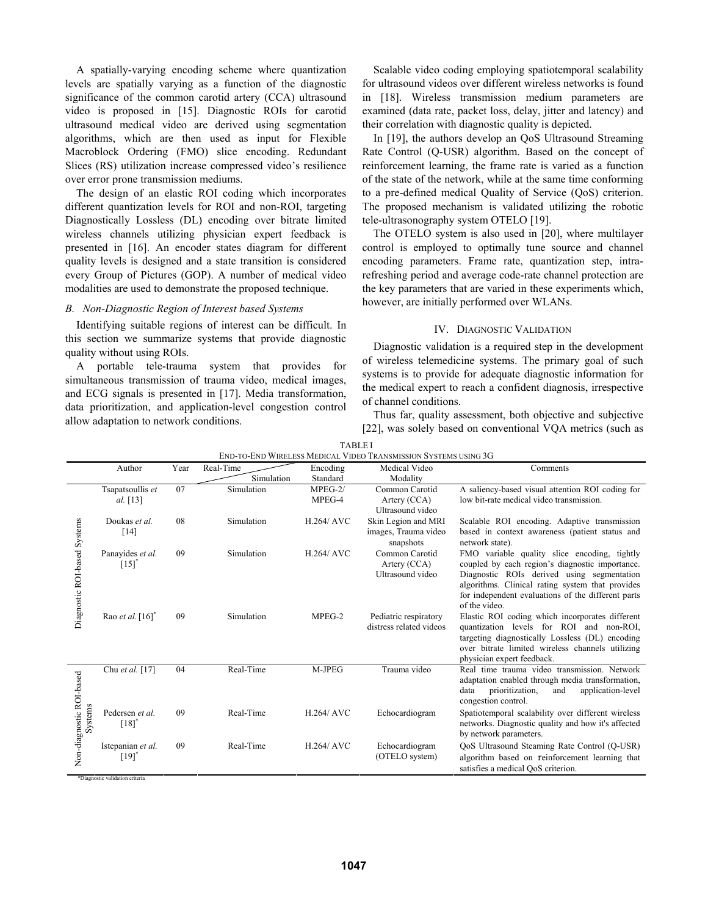A spatially-varying encoding scheme where quantization levels are spatially varying as a function of the diagnostic significance of the common carotid artery (CCA) ultrasound video is proposed in [15]. Diagnostic ROIs for carotid ultrasound medical video are derived using segmentation algorithms, which are then used as input for Flexible Macroblock Ordering (FMO) slice encoding. Redundant Slices (RS) utilization increase compressed video's resilience over error prone transmission mediums.

The design of an elastic ROI coding which incorporates different quantization levels for ROI and non-ROI, targeting Diagnostically Lossless (DL) encoding over bitrate limited wireless channels utilizing physician expert feedback is presented in [16]. An encoder states diagram for different quality levels is designed and a state transition is considered every Group of Pictures (GOP). A number of medical video modalities are used to demonstrate the proposed technique.

# *B. Non-Diagnostic Region of Interest based Systems*

Identifying suitable regions of interest can be difficult. In this section we summarize systems that provide diagnostic quality without using ROIs.

A portable tele-trauma system that provides for simultaneous transmission of trauma video, medical images, and ECG signals is presented in [17]. Media transformation, data prioritization, and application-level congestion control allow adaptation to network conditions.

Scalable video coding employing spatiotemporal scalability for ultrasound videos over different wireless networks is found in [18]. Wireless transmission medium parameters are examined (data rate, packet loss, delay, jitter and latency) and their correlation with diagnostic quality is depicted.

In [19], the authors develop an QoS Ultrasound Streaming Rate Control (Q-USR) algorithm. Based on the concept of reinforcement learning, the frame rate is varied as a function of the state of the network, while at the same time conforming to a pre-defined medical Quality of Service (QoS) criterion. The proposed mechanism is validated utilizing the robotic tele-ultrasonography system OTELO [19].

The OTELO system is also used in [20], where multilayer control is employed to optimally tune source and channel encoding parameters. Frame rate, quantization step, intrarefreshing period and average code-rate channel protection are the key parameters that are varied in these experiments which, however, are initially performed over WLANs.

#### IV. DIAGNOSTIC VALIDATION

Diagnostic validation is a required step in the development of wireless telemedicine systems. The primary goal of such systems is to provide for adequate diagnostic information for the medical expert to reach a confident diagnosis, irrespective of channel conditions.

Thus far, quality assessment, both objective and subjective [22], was solely based on conventional VOA metrics (such as

|                                     | Author                                             | Year | Real-Time  | Encoding          | Medical Video                                            | Comments                                                                                                                                                                                                                                                |
|-------------------------------------|----------------------------------------------------|------|------------|-------------------|----------------------------------------------------------|---------------------------------------------------------------------------------------------------------------------------------------------------------------------------------------------------------------------------------------------------------|
|                                     |                                                    |      | Simulation | Standard          | Modality                                                 |                                                                                                                                                                                                                                                         |
| Diagnostic ROI-based Systems        | Tsapatsoullis et                                   | 07   | Simulation | $MPEG-2/$         | Common Carotid                                           | A saliency-based visual attention ROI coding for                                                                                                                                                                                                        |
|                                     | al. [13]                                           |      |            | MPEG-4            | Artery (CCA)<br>Ultrasound video                         | low bit-rate medical video transmission.                                                                                                                                                                                                                |
|                                     | Doukas et al.<br>[14]                              | 08   | Simulation | <b>H.264/ AVC</b> | Skin Legion and MRI<br>images, Trauma video<br>snapshots | Scalable ROI encoding. Adaptive transmission<br>based in context awareness (patient status and<br>network state).                                                                                                                                       |
|                                     | Panavides et al.<br>$\left[15\right]$ <sup>*</sup> | 09   | Simulation | <b>H.264/ AVC</b> | Common Carotid<br>Artery (CCA)<br>Ultrasound video       | FMO variable quality slice encoding, tightly<br>coupled by each region's diagnostic importance.<br>Diagnostic ROIs derived using segmentation<br>algorithms. Clinical rating system that provides<br>for independent evaluations of the different parts |
|                                     | Rao et al. $[16]$ <sup>*</sup>                     | 09   | Simulation | MPEG-2            | Pediatric respiratory<br>distress related videos         | of the video.<br>Elastic ROI coding which incorporates different<br>quantization levels for ROI and non-ROI,<br>targeting diagnostically Lossless (DL) encoding<br>over bitrate limited wireless channels utilizing<br>physician expert feedback.       |
| Non-diagnostic ROI-based<br>Systems | Chu et al. [17]                                    | 04   | Real-Time  | M-JPEG            | Trauma video                                             | Real time trauma video transmission. Network<br>adaptation enabled through media transformation,<br>prioritization,<br>application-level<br>and<br>data<br>congestion control.                                                                          |
|                                     | Pedersen et al.<br>[18]                            | 09   | Real-Time  | <b>H.264/ AVC</b> | Echocardiogram                                           | Spatiotemporal scalability over different wireless<br>networks. Diagnostic quality and how it's affected<br>by network parameters.                                                                                                                      |
|                                     | Istepanian et al.<br>$[19]$ <sup>*</sup>           | 09   | Real-Time  | <b>H.264/ AVC</b> | Echocardiogram<br>(OTELO system)                         | QoS Ultrasound Steaming Rate Control (Q-USR)<br>algorithm based on reinforcement learning that<br>satisfies a medical QoS criterion.                                                                                                                    |
| *Diagnostic validation criteria     |                                                    |      |            |                   |                                                          |                                                                                                                                                                                                                                                         |

| <b>TABLEI</b>                                                   |
|-----------------------------------------------------------------|
| End-to-End Wireless Medical Video Transmission Systems using 3G |